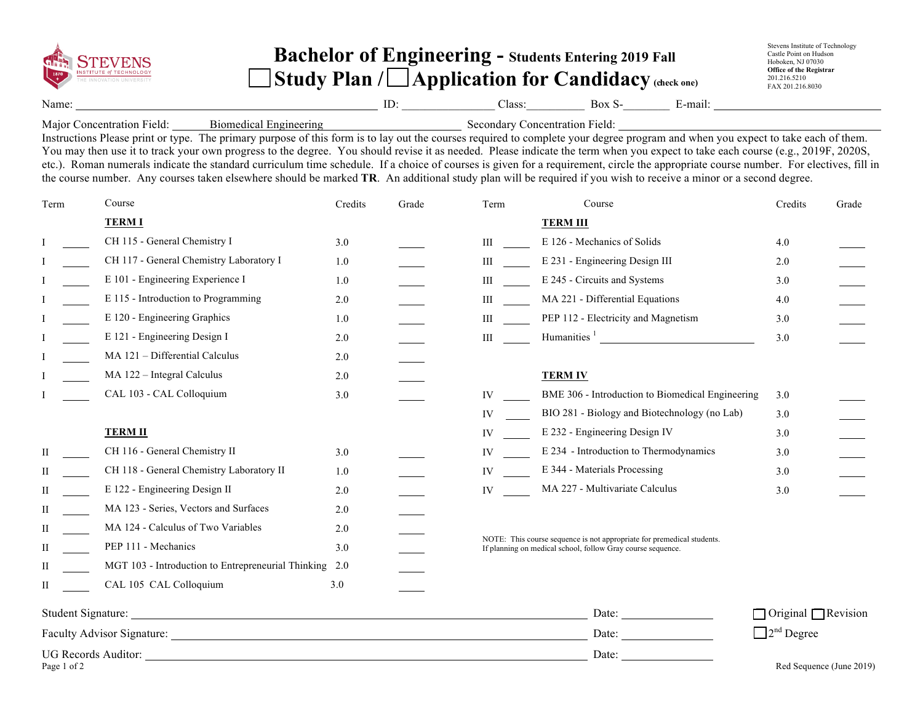|                      |                                                                                                                                                                                                                                                                                                                                                                                                                                                                                                                                                                                                                                                                                                                                                                |                                                           | <b>Bachelor of Engineering - Students Entering 2019 Fall</b> | Stevens Institute of Technology<br>Castle Point on Hudson<br>Hoboken, NJ 07030                                                                                                                                                                                                        |                                                                                                           |         |                          |  |  |  |
|----------------------|----------------------------------------------------------------------------------------------------------------------------------------------------------------------------------------------------------------------------------------------------------------------------------------------------------------------------------------------------------------------------------------------------------------------------------------------------------------------------------------------------------------------------------------------------------------------------------------------------------------------------------------------------------------------------------------------------------------------------------------------------------------|-----------------------------------------------------------|--------------------------------------------------------------|---------------------------------------------------------------------------------------------------------------------------------------------------------------------------------------------------------------------------------------------------------------------------------------|-----------------------------------------------------------------------------------------------------------|---------|--------------------------|--|--|--|
|                      | <b>INSTITUTE of TECHNOLOGY</b>                                                                                                                                                                                                                                                                                                                                                                                                                                                                                                                                                                                                                                                                                                                                 | Study Plan / $\Box$ Application for Candidacy (check one) | Office of the Registrar<br>201.216.5210<br>FAX 201.216.8030  |                                                                                                                                                                                                                                                                                       |                                                                                                           |         |                          |  |  |  |
| Name:                |                                                                                                                                                                                                                                                                                                                                                                                                                                                                                                                                                                                                                                                                                                                                                                |                                                           |                                                              |                                                                                                                                                                                                                                                                                       | $ID:$ $ID:$ $Class:$ $Box S$ $E-mail:$                                                                    |         |                          |  |  |  |
|                      | Major Concentration Field:<br>Instructions Please print or type. The primary purpose of this form is to lay out the courses required to complete your degree program and when you expect to take each of them.<br>You may then use it to track your own progress to the degree. You should revise it as needed. Please indicate the term when you expect to take each course (e.g., 2019F, 2020S,<br>etc.). Roman numerals indicate the standard curriculum time schedule. If a choice of courses is given for a requirement, circle the appropriate course number. For electives, fill in<br>the course number. Any courses taken elsewhere should be marked TR. An additional study plan will be required if you wish to receive a minor or a second degree. |                                                           |                                                              |                                                                                                                                                                                                                                                                                       | Biomedical Engineering Secondary Concentration Field: National Engineering Secondary Concentration Field: |         |                          |  |  |  |
| Term                 | Course                                                                                                                                                                                                                                                                                                                                                                                                                                                                                                                                                                                                                                                                                                                                                         | Credits                                                   | Grade                                                        | Term                                                                                                                                                                                                                                                                                  | Course                                                                                                    | Credits | Grade                    |  |  |  |
|                      | <b>TERM I</b>                                                                                                                                                                                                                                                                                                                                                                                                                                                                                                                                                                                                                                                                                                                                                  |                                                           |                                                              |                                                                                                                                                                                                                                                                                       | <b>TERM III</b>                                                                                           |         |                          |  |  |  |
|                      | CH 115 - General Chemistry I                                                                                                                                                                                                                                                                                                                                                                                                                                                                                                                                                                                                                                                                                                                                   | 3.0                                                       |                                                              | $III$ and $III$ and $III$ and $III$ and $III$ and $III$ and $III$ and $III$ and $III$ and $III$ and $III$ and $III$ and $III$ and $III$ and $III$ and $III$ and $III$ and $III$ and $III$ and $III$ and $III$ and $III$ and $III$ and $III$ and $III$ and $III$ and $III$ and $III$ a | E 126 - Mechanics of Solids                                                                               | 4.0     |                          |  |  |  |
|                      | CH 117 - General Chemistry Laboratory I                                                                                                                                                                                                                                                                                                                                                                                                                                                                                                                                                                                                                                                                                                                        | 1.0                                                       |                                                              | III                                                                                                                                                                                                                                                                                   | E 231 - Engineering Design III                                                                            | 2.0     |                          |  |  |  |
|                      | E 101 - Engineering Experience I                                                                                                                                                                                                                                                                                                                                                                                                                                                                                                                                                                                                                                                                                                                               | 1.0                                                       |                                                              | III                                                                                                                                                                                                                                                                                   | E 245 - Circuits and Systems                                                                              | 3.0     |                          |  |  |  |
|                      | E 115 - Introduction to Programming                                                                                                                                                                                                                                                                                                                                                                                                                                                                                                                                                                                                                                                                                                                            | 2.0                                                       |                                                              | III                                                                                                                                                                                                                                                                                   | MA 221 - Differential Equations                                                                           | 4.0     |                          |  |  |  |
|                      | E 120 - Engineering Graphics                                                                                                                                                                                                                                                                                                                                                                                                                                                                                                                                                                                                                                                                                                                                   | 1.0                                                       |                                                              | $\mathbf{III}$ and $\mathbf{III}$                                                                                                                                                                                                                                                     | PEP 112 - Electricity and Magnetism                                                                       | 3.0     |                          |  |  |  |
|                      | E 121 - Engineering Design I                                                                                                                                                                                                                                                                                                                                                                                                                                                                                                                                                                                                                                                                                                                                   | 2.0                                                       |                                                              | $III$ $=$                                                                                                                                                                                                                                                                             | Humanities <sup>1</sup>                                                                                   | 3.0     |                          |  |  |  |
|                      | MA 121 - Differential Calculus                                                                                                                                                                                                                                                                                                                                                                                                                                                                                                                                                                                                                                                                                                                                 | 2.0                                                       |                                                              |                                                                                                                                                                                                                                                                                       |                                                                                                           |         |                          |  |  |  |
|                      | MA 122 - Integral Calculus                                                                                                                                                                                                                                                                                                                                                                                                                                                                                                                                                                                                                                                                                                                                     | 2.0                                                       |                                                              |                                                                                                                                                                                                                                                                                       | <b>TERM IV</b>                                                                                            |         |                          |  |  |  |
|                      | CAL 103 - CAL Colloquium                                                                                                                                                                                                                                                                                                                                                                                                                                                                                                                                                                                                                                                                                                                                       | 3.0                                                       |                                                              | IV and the set of the set of the set of the set of the set of the set of the set of the set of the set of the set of the set of the set of the set of the set of the set of the set of the set of the set of the set of the se                                                        | BME 306 - Introduction to Biomedical Engineering                                                          | 3.0     |                          |  |  |  |
|                      |                                                                                                                                                                                                                                                                                                                                                                                                                                                                                                                                                                                                                                                                                                                                                                |                                                           |                                                              | IV                                                                                                                                                                                                                                                                                    | BIO 281 - Biology and Biotechnology (no Lab)                                                              | 3.0     |                          |  |  |  |
|                      | <b>TERM II</b>                                                                                                                                                                                                                                                                                                                                                                                                                                                                                                                                                                                                                                                                                                                                                 |                                                           |                                                              | IV                                                                                                                                                                                                                                                                                    | E 232 - Engineering Design IV                                                                             | 3.0     |                          |  |  |  |
|                      | CH 116 - General Chemistry II                                                                                                                                                                                                                                                                                                                                                                                                                                                                                                                                                                                                                                                                                                                                  | 3.0                                                       |                                                              | IV and the set of the set of the set of the set of the set of the set of the set of the set of the set of the set of the set of the set of the set of the set of the set of the set of the set of the set of the set of the se                                                        | E 234 - Introduction to Thermodynamics                                                                    | 3.0     |                          |  |  |  |
|                      | CH 118 - General Chemistry Laboratory II                                                                                                                                                                                                                                                                                                                                                                                                                                                                                                                                                                                                                                                                                                                       | 1.0                                                       |                                                              | IV                                                                                                                                                                                                                                                                                    | E 344 - Materials Processing                                                                              | 3.0     |                          |  |  |  |
|                      | E 122 - Engineering Design II                                                                                                                                                                                                                                                                                                                                                                                                                                                                                                                                                                                                                                                                                                                                  | 2.0                                                       |                                                              | IV and the set of the set of the set of the set of the set of the set of the set of the set of the set of the set of the set of the set of the set of the set of the set of the set of the set of the set of the set of the se                                                        | MA 227 - Multivariate Calculus                                                                            | 3.0     |                          |  |  |  |
|                      | MA 123 - Series, Vectors and Surfaces                                                                                                                                                                                                                                                                                                                                                                                                                                                                                                                                                                                                                                                                                                                          | 2.0                                                       |                                                              |                                                                                                                                                                                                                                                                                       |                                                                                                           |         |                          |  |  |  |
|                      | MA 124 - Calculus of Two Variables                                                                                                                                                                                                                                                                                                                                                                                                                                                                                                                                                                                                                                                                                                                             | 2.0                                                       |                                                              |                                                                                                                                                                                                                                                                                       |                                                                                                           |         |                          |  |  |  |
| П                    | PEP 111 - Mechanics                                                                                                                                                                                                                                                                                                                                                                                                                                                                                                                                                                                                                                                                                                                                            | 3.0                                                       |                                                              | NOTE: This course sequence is not appropriate for premedical students.<br>If planning on medical school, follow Gray course sequence.                                                                                                                                                 |                                                                                                           |         |                          |  |  |  |
| $\scriptstyle\rm II$ | MGT 103 - Introduction to Entrepreneurial Thinking 2.0                                                                                                                                                                                                                                                                                                                                                                                                                                                                                                                                                                                                                                                                                                         |                                                           |                                                              |                                                                                                                                                                                                                                                                                       |                                                                                                           |         |                          |  |  |  |
| $\mathbf{I}$         | CAL 105 CAL Colloquium                                                                                                                                                                                                                                                                                                                                                                                                                                                                                                                                                                                                                                                                                                                                         | 3.0                                                       |                                                              |                                                                                                                                                                                                                                                                                       |                                                                                                           |         |                          |  |  |  |
|                      |                                                                                                                                                                                                                                                                                                                                                                                                                                                                                                                                                                                                                                                                                                                                                                | Date: <u>and the same of the same</u>                     | $\Box$ Original $\Box$ Revision                              |                                                                                                                                                                                                                                                                                       |                                                                                                           |         |                          |  |  |  |
|                      |                                                                                                                                                                                                                                                                                                                                                                                                                                                                                                                                                                                                                                                                                                                                                                |                                                           | $\Box$ 2 <sup>nd</sup> Degree                                |                                                                                                                                                                                                                                                                                       |                                                                                                           |         |                          |  |  |  |
|                      |                                                                                                                                                                                                                                                                                                                                                                                                                                                                                                                                                                                                                                                                                                                                                                |                                                           |                                                              |                                                                                                                                                                                                                                                                                       | Date: $\frac{1}{\sqrt{1-\frac{1}{2}} \cdot \frac{1}{2}}$                                                  |         |                          |  |  |  |
| Page 1 of 2          |                                                                                                                                                                                                                                                                                                                                                                                                                                                                                                                                                                                                                                                                                                                                                                |                                                           |                                                              |                                                                                                                                                                                                                                                                                       |                                                                                                           |         | Red Sequence (June 2019) |  |  |  |